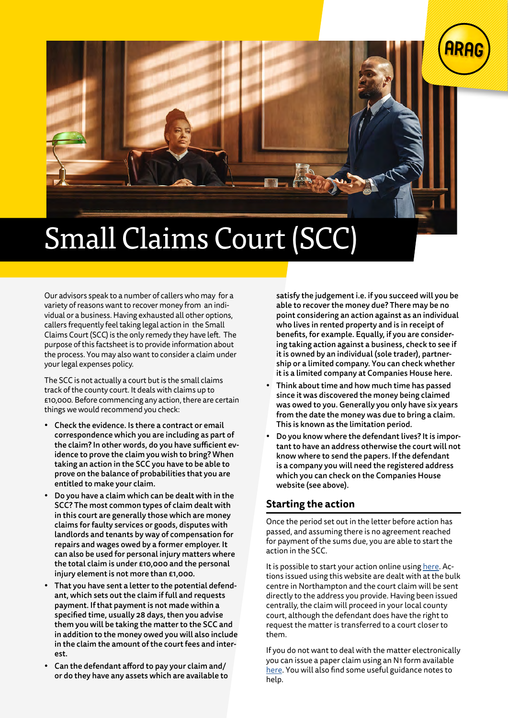

Our advisors speak to a number of callers who may for a variety of reasons want to recover money from an individual or a business. Having exhausted all other options, callers frequently feel taking legal action in the Small Claims Court (SCC) is the only remedy they have left. The purpose of this factsheet is to provide information about the process. You may also want to consider a claim under your legal expenses policy.

The SCC is not actually a court but is the small claims track of the county court. It deals with claims up to £10,000. Before commencing any action, there are certain things we would recommend you check:

- Check the evidence. Is there a contract or email correspondence which you are including as part of the claim? In other words, do you have sufficient evidence to prove the claim you wish to bring? When taking an action in the SCC you have to be able to prove on the balance of probabilities that you are entitled to make your claim.
- Do you have a claim which can be dealt with in the SCC? The most common types of claim dealt with in this court are generally those which are money claims for faulty services or goods, disputes with landlords and tenants by way of compensation for repairs and wages owed by a former employer. It can also be used for personal injury matters where the total claim is under £10,000 and the personal injury element is not more than £1,000.
- That you have sent a letter to the potential defendant, which sets out the claim if full and requests payment. If that payment is not made within a specified time, usually 28 days, then you advise them you will be taking the matter to the SCC and in addition to the money owed you will also include in the claim the amount of the court fees and interest.
- Can the defendant afford to pay your claim and/ or do they have any assets which are available to

satisfy the judgement i.e. if you succeed will you be able to recover the money due? There may be no point considering an action against as an individual who lives in rented property and is in receipt of benefits, for example. Equally, if you are considering taking action against a business, check to see if it is owned by an individual (sole trader), partnership or a limited company. You can check whether it is a limited company at Companies House here.

- Think about time and how much time has passed since it was discovered the money being claimed was owed to you. Generally you only have six years from the date the money was due to bring a claim. This is known as the limitation period.
- Do you know where the defendant lives? It is important to have an address otherwise the court will not know where to send the papers. If the defendant is a company you will need the registered address which you can check on the Companies House website (see above).

### **Starting the action**

Once the period set out in the letter before action has passed, and assuming there is no agreement reached for payment of the sums due, you are able to start the action in the SCC.

It is possible to start your action online using [here.](https://www.moneyclaim.gov.uk/web/mcol/welcome) Actions issued using this website are dealt with at the bulk centre in Northampton and the court claim will be sent directly to the address you provide. Having been issued centrally, the claim will proceed in your local county court, although the defendant does have the right to request the matter is transferred to a court closer to them.

If you do not want to deal with the matter electronically you can issue a paper claim using an N1 form available [here.](https://www.gov.uk/government/publications/form-n1-claim-form-cpr-part-7) You will also find some useful guidance notes to help.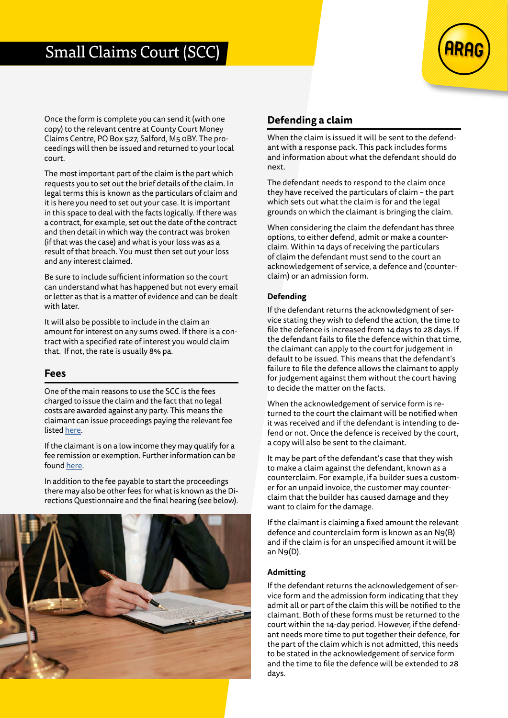

Once the form is complete you can send it (with one copy) to the relevant centre at County Court Money Claims Centre, PO Box 527, Salford, M5 0BY. The proceedings will then be issued and returned to your local court.

The most important part of the claim is the part which requests you to set out the brief details of the claim. In legal terms this is known as the particulars of claim and it is here you need to set out your case. It is important in this space to deal with the facts logically. If there was a contract, for example, set out the date of the contract and then detail in which way the contract was broken (if that was the case) and what is your loss was as a result of that breach. You must then set out your loss and any interest claimed.

Be sure to include sufficient information so the court can understand what has happened but not every email or letter as that is a matter of evidence and can be dealt with later.

It will also be possible to include in the claim an amount for interest on any sums owed. If there is a contract with a specified rate of interest you would claim that. If not, the rate is usually 8% pa.

### **Fees**

One of the main reasons to use the SCC is the fees charged to issue the claim and the fact that no legal costs are awarded against any party. This means the claimant can issue proceedings paying the relevant fee listed [here.](https://www.gov.uk/court-fees-what-they-are)

If the claimant is on a low income they may qualify for a fee remission or exemption. Further information can be found [here](https://www.gov.uk/government/publications/apply-for-help-with-court-and-tribunal-fees).

In addition to the fee payable to start the proceedings there may also be other fees for what is known as the Directions Questionnaire and the final hearing (see below).



### **Defending a claim**

When the claim is issued it will be sent to the defendant with a response pack. This pack includes forms and information about what the defendant should do next.

The defendant needs to respond to the claim once they have received the particulars of claim – the part which sets out what the claim is for and the legal grounds on which the claimant is bringing the claim.

When considering the claim the defendant has three options, to either defend, admit or make a counterclaim. Within 14 days of receiving the particulars of claim the defendant must send to the court an acknowledgement of service, a defence and (counterclaim) or an admission form.

#### **Defending**

If the defendant returns the acknowledgment of service stating they wish to defend the action, the time to file the defence is increased from 14 days to 28 days. If the defendant fails to file the defence within that time, the claimant can apply to the court for judgement in default to be issued. This means that the defendant's failure to file the defence allows the claimant to apply for judgement against them without the court having to decide the matter on the facts.

When the acknowledgement of service form is returned to the court the claimant will be notified when it was received and if the defendant is intending to defend or not. Once the defence is received by the court, a copy will also be sent to the claimant.

It may be part of the defendant's case that they wish to make a claim against the defendant, known as a counterclaim. For example, if a builder sues a customer for an unpaid invoice, the customer may counterclaim that the builder has caused damage and they want to claim for the damage.

If the claimant is claiming a fixed amount the relevant defence and counterclaim form is known as an N9(B) and if the claim is for an unspecified amount it will be an N9(D).

#### **Admitting**

If the defendant returns the acknowledgement of service form and the admission form indicating that they admit all or part of the claim this will be notified to the claimant. Both of these forms must be returned to the court within the 14-day period. However, if the defendant needs more time to put together their defence, for the part of the claim which is not admitted, this needs to be stated in the acknowledgement of service form and the time to file the defence will be extended to 28 days.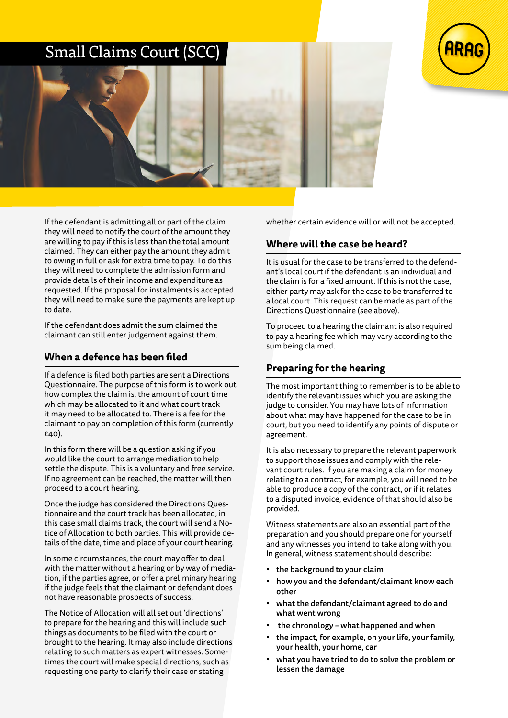

If the defendant is admitting all or part of the claim they will need to notify the court of the amount they are willing to pay if this is less than the total amount claimed. They can either pay the amount they admit to owing in full or ask for extra time to pay. To do this they will need to complete the admission form and provide details of their income and expenditure as requested. If the proposal for instalments is accepted they will need to make sure the payments are kept up to date.

If the defendant does admit the sum claimed the claimant can still enter judgement against them.

### **When a defence has been filed**

If a defence is filed both parties are sent a Directions Questionnaire. The purpose of this form is to work out how complex the claim is, the amount of court time which may be allocated to it and what court track it may need to be allocated to. There is a fee for the claimant to pay on completion of this form (currently £40).

In this form there will be a question asking if you would like the court to arrange mediation to help settle the dispute. This is a voluntary and free service. If no agreement can be reached, the matter will then proceed to a court hearing.

Once the judge has considered the Directions Questionnaire and the court track has been allocated, in this case small claims track, the court will send a Notice of Allocation to both parties. This will provide details of the date, time and place of your court hearing.

In some circumstances, the court may offer to deal with the matter without a hearing or by way of mediation, if the parties agree, or offer a preliminary hearing if the judge feels that the claimant or defendant does not have reasonable prospects of success.

The Notice of Allocation will all set out 'directions' to prepare for the hearing and this will include such things as documents to be filed with the court or brought to the hearing. It may also include directions relating to such matters as expert witnesses. Sometimes the court will make special directions, such as requesting one party to clarify their case or stating

whether certain evidence will or will not be accepted.

## **Where will the case be heard?**

It is usual for the case to be transferred to the defendant's local court if the defendant is an individual and the claim is for a fixed amount. If this is not the case, either party may ask for the case to be transferred to a local court. This request can be made as part of the Directions Questionnaire (see above).

To proceed to a hearing the claimant is also required to pay a hearing fee which may vary according to the sum being claimed.

## **Preparing for the hearing**

The most important thing to remember is to be able to identify the relevant issues which you are asking the judge to consider. You may have lots of information about what may have happened for the case to be in court, but you need to identify any points of dispute or agreement.

It is also necessary to prepare the relevant paperwork to support those issues and comply with the relevant court rules. If you are making a claim for money relating to a contract, for example, you will need to be able to produce a copy of the contract, or if it relates to a disputed invoice, evidence of that should also be provided.

Witness statements are also an essential part of the preparation and you should prepare one for yourself and any witnesses you intend to take along with you. In general, witness statement should describe:

- the background to your claim
- how you and the defendant/claimant know each other
- what the defendant/claimant agreed to do and what went wrong
- the chronology what happened and when
- the impact, for example, on your life, your family, your health, your home, car
- what you have tried to do to solve the problem or lessen the damage